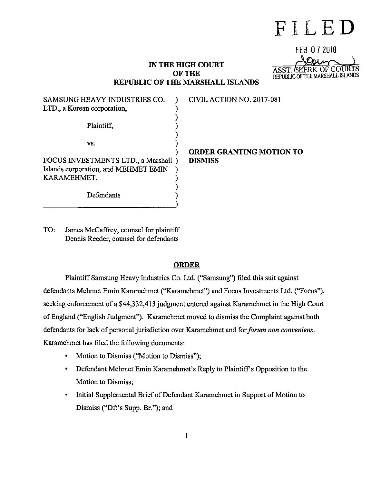# **FILED**

REPUBLIC OF THE MARSHALL ISLANDS

ASST.

FEB 0 7 2018

### **IN THE HIGH COURT OF THE REPUBLIC OF THE MARSHALL ISLANDS**

| SAMSUNG HEAVY INDUSTRIES CO.<br>LTD., a Korean corporation,                                 | CIVIL ACTION NO. 2017-081       |
|---------------------------------------------------------------------------------------------|---------------------------------|
| Plaintiff.                                                                                  |                                 |
| VS.                                                                                         | <b>ORDER GRANTING MOTION TO</b> |
| FOCUS INVESTMENTS LTD., a Marshall )<br>Islands corporation, and MEHMET EMIN<br>KARAMEHMET, | <b>DISMISS</b>                  |
| Defendants                                                                                  |                                 |

TO: James McCaffrey, counsel for plaintiff Dennis Reeder, counsel for defendants

#### **ORDER**

Plaintiff Samsung Heavy Industries Co. Ltd. ("Samsung") filed this suit against defendants Mehmet Emin Karamehmet ("Karamehmet") and Focus Investments Ltd. ("Focus"), seeking enforcement of a \$44,332,413 judgment entered against Karamehmet in the High Court of England ("English Judgment"). Karamehmet moved to dismiss the Complaint against both defendants for lack of personal jurisdiction over Karamehmet and for *forum non conveniens.*  Karamehmet has filed the following documents:

- Motion to Dismiss ("Motion to Dismiss");
- Defendant Mehmet Emin Karamehmet's Reply to Plaintiff's Opposition to the Motion to Dismiss;
- Initial Supplemental Brief of Defendant Karamehmet in Support of Motion to Dismiss ("Dft's Supp. Br."); and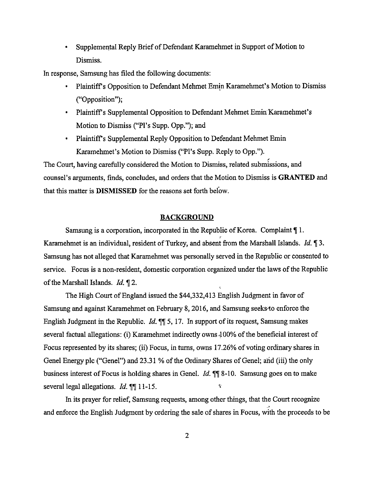• Supplemental Reply Brief of Defendant Karamehmet in Support of Motion to Dismiss.

In response, Samsung has filed the following documents:

- Plaintiff's Opposition to Defendant Mehmet Emin Karamehmet's Motion to Dismiss ("Opposition");
- Plaintiff's Supplemental Opposition to Defendant Mehmet Emin Karamehmet's Motion to Dismiss ("PJ's Supp. Opp."); and
- Plaintiff's Supplemental Reply Opposition to Defendant Mehmet Emin Karamehmet's Motion to Dismiss ("Pl's Supp. Reply to Opp.").

The Court, having carefully considered the Motion to Dismiss, related submissions, and counsel's arguments, finds, concludes, and orders that the Motion to Dismiss is **GRANTED** and that this matter is **DISMISSED** for the reasons set forth beiow.

#### **BACKGROUND**

Samsung is a corporation, incorporated in the Republic of Korea. Complaint  $\P$ 1. Karamehmet is an individual, resident of Turkey, and absent from the Marshall Islands. *Id.* 13. Samsung has not alleged that Karamehmet was personally served in the Republic or consented to service. Focus is a non-resident, domestic corporation organized under the Jaws of the Republic of the Marshall Islands. *Id.* 12.

The High Court of England issued the \$44,332,413 English Judgment in favor of Samsung and against Karamehmet on February 8, 2016, and Samsung seeks-to enforce the English Judgment in the Republic. *Id.* **11** 5, 17. In support of its request, Samsung makes several factual allegations: (i) Karamehmet indirectly owns 100% of the beneficial interest of Focus represented by its shares; (ii) Focus, in turns, owns 17.26% of voting ordinary shares in Genel Energy plc ("Gene!") and 23.31 % of the Ordinary Shares of Genel; and (iii) the only business interest of Focus is holding shares in Genel. *Id.*  $\mathbb{I}$  10. Samsung goes on to make ÷ several legal allegations. *Id.* **11-15.** 

In its prayer for relief, Samsung requests, among other things, that the Court recognize and enforce the English Judgment by ordering the sale of shares in Focus, with the proceeds to be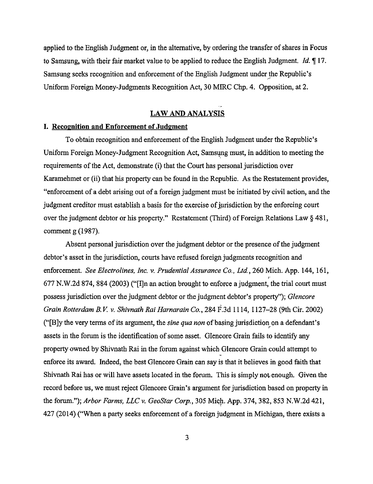applied to the English Judgment or, in the alternative, by ordering the transfer of shares in Focus to Samsung, with their fair market value to be applied to reduce the English Judgment. *Id.* 'If 17. Samsung seeks recognition and enforcement of the English Judgment under the Republic's Uniform Foreign Money-Judgments Recognition Act, 30 MIRC Chp. 4. Opposition, at 2.

## **LAW AND ANALYSIS**

#### **I. Recognition and Enforcement of Judgment**

To obtain recognition and enforcement of the English Judgment under the Republic's Uniform Foreign Money-Judgment Recognition Act, Samsgng must, in addition to meeting the requirements of the Act, demonstrate (i) that the Court has personal jurisdiction over Karamehmet or (ii) that his property can be found in the Republic. As the Restatement provides, "enforcement of a debt arising out of a foreign judgment must be initiated by civil action, and the judgment creditor must establish a basis for the exercise of iurisdiction by the enforcing court over the judgment debtor or his property." Restatement (Third) of Foreign Relations Law § 481, comment g (1987).

Absent personal jurisdiction over the judgment debtor or the presence of the judgment debtor's asset in the jurisdiction, courts have refused foreign judgments recognition and enforcement. *See Electrolines, Inc. v. Prudential Assurance Co., Ltd.*, 260 Mich. App. 144, 161, 677 N.W.2d 874, 884 (2003) ("[I]n an action brought to enforce a judgment, the trial court must possess jurisdiction over the judgment debtor or the judgment debtor's property"); *Glencore Grain Rotterdam B. V.* v. *Shivnath Rai Harnarain Co.,* 284 F.3d 1114, 1127-28 (9th Cir. 2002) ("[B]y the very terms of its argument, the *sine qua non* of basing jurisdiction~ on a defendant's assets in the forum is the identification of some asset. Glencore Grain fails to identify any property owned by Shivnath Rai in the forum against which Glencore Grain could attempt to enforce its award. Indeed, the best Glencore Grain can say is that it believes in good faith that Shivnath Rai has or will have assets located in the forum. This is simply not enough. Given the record before us, we must reject Glencore Grain's argument for jurisdiction based on property in the forum."); *Arbor Farms, LLC* v. *GeoStar Corp.,* 305 Mic;p. App. 374, 382, 853 N.W.2d 421, 427 (2014) ("When a party seeks enforcement of a foreign judgment in Michigan, there exists a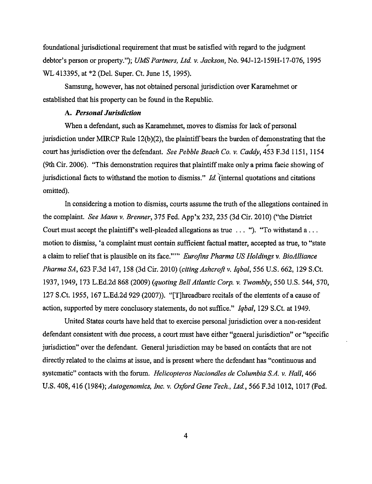foundational jurisdictional requirement that must be satisfied with regard to the judgment debtor's person or property."); *UMS Partners, Ltd. v. Jackson,* No. 94J-12-l 59H-17-076, 1995 WL 413395, at \*2 (Del. Super. Ct. June 15, 1995).

Samsung, however, has not obtained personal jurisdiction over Karamehmet or established that his property can be found in the Republic.

#### **A.** *Personal Jurisdiction*

When a defendant, such as Karamehmet, moves to dismiss for lack of personal jurisdiction under MIRCP Rule 12(b)(2), the plaintiff bears the burden of demonstrating that the " court has jurisdiction over the defendant. *See Pebble Beach Co. v. Caddy,* 453 F .3d 1151, 1154 (9th Cir. 2006). "This demonstration requires that plaintiff make only a prima facie showing of jurisdictional facts to withstand the motion to dismiss." *Id* "(internal quotations and citations omitted).

In considering a motion to dismiss, courts assume the truth of the allegations contained in the complaint. *See Mann v. Brenner,* 375 Fed. App'x 232, 235 (3d Cir. 2010) ("the District Court must accept the plaintiff's well-pleaded allegations as true  $\dots$  ". "To withstand a  $\dots$ motion to dismiss, 'a complaint must contain sufficient factual matter, accepted as true, to "state a claim to relief that is plausible on its face.""' *Eurofins Pharma US Holdings v. BioAlliance Pharma SA,* 623 F.3d 147, 158 (3d Cir. 2010) *(citing Ashcroft v. Iqbal,* 556 U.S. 662, 129 S.Ct. 1937, 1949, 173 L.Ed.2d 868 (2009) *(quoting Bell Atlantic Corp. v. Twombly,* 550 U.S. 544, 570, 127 S.Ct. 1955, 167 L.Ed.2d 929 (2007)). "[T]hreadbare recitals of the elements of a cause of action, supported by mere conclusory statements, do not suffice." *Iqbal,* 129 S.Ct. at 1949.

United States courts have held that to exercise personal jurisdiction over a non-resident defendant consistent with due process, a court must have either "general jurisdiction" or "specific jurisdiction" over the defendant. General jurisdiction may be based on contacts that are not directly related to the claims at issue, and is present where the defendant has "continuous and systematic" contacts with the forum. *Helicopteros Naciondles de Columbia S.A. v. Hall,* 466 U.S. 408, 416 (1984); *Autogenomics, Inc. v. Oxford Gene Tech., Ltd,* 566 F.3d 1012, 1017 (Fed.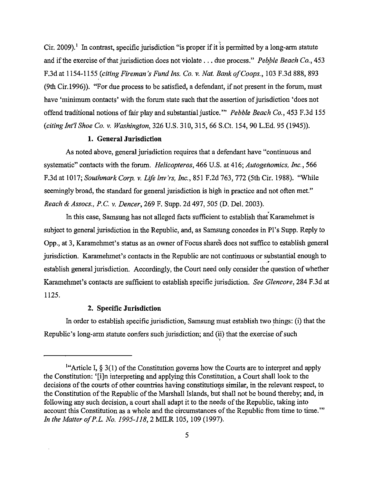Cir. 2009).<sup>1</sup> In contrast, specific jurisdiction "is proper if it is permitted by a long-arm statute and if the exercise of that jurisdiction does not violate . . . due process." Pebble Beach Co., 453 F.3d at 1154-1155 *(citing Fireman's Fund Ins. Co. v. Nat. Bank of Coops.,* 103 F.3d 888, 893 (9th Cir.1996)). "For due process to be satisfied, a defendant, if not present in the forum, must have 'minimum contacts' with the forum state such that the assertion of jurisdiction 'does not offend traditional notions of fair play and substantial justice.'" *Pebble Beach Co.,* 453 F.3d 155 *(citing Int'! Shoe Co.* v. *Washington,* 326 U.S. 310, 315, 66 S.Ct. 154, 90 L.Ed. 95 (1945)).

#### **I. General Jurisdiction**

As noted above, general jurisdiction requires that a defendant have "continuous and systematic" contacts with the forum. *Helicopteros*, 466 U.S. at 416; *Autogenomics, Inc.*, 566 F.3d at 1017; *Southmark Corp. v. Life Inv 'rs, Inc.,* 851 F.2d 763, 772 (5th Cir. 1988). "While seemingly broad, the standard for general jurisdiction is high in practice and not often met." *Reach* & *Assocs., P.C. v. Dencer,* 269 F. Supp. 2d 497, 505 (D. Del. 2003).

In this case, Samsung has not alleged facts sufficient to establish that Karamehmet is subject to general jurisdiction in the Republic, and, as Samsung concedes in Pl 's Supp. Reply to Opp., at 3, Karamehmet's status as an owner of Focus shares does not suffice to establish general jurisdiction. Karamehmet's contacts in the Republic are not continuous or substantial enough to establish general jurisdiction. Accordingly, the Court need only consider the question of whether Karamehmet's contacts are sufficient to establish specific jurisdiction. *See Glencore,* 284 F.3d at 1125.

#### **2. Specific Jurisdiction**

In order to establish specific jurisdiction, Samsung must establish two things: (i) that the Republic's long-arm statute confers such jurisdiction; and (ii) that the exercise of such

<sup>&</sup>lt;sup>1"</sup>Article I,  $\S 3(1)$  of the Constitution governs how the Courts are to interpret and apply the Constitution: '[i]n interpreting and applying this Constitution, a Court shall look to the decisions of the courts of other countries having constitutions similar, in the relevant respect, to the Constitution of the Republic of the Marshall Islands, but shall not be bound thereby; and, in following any such decision, a court shall adapt it to the needs of the Republic, taking into account this Constitution as a whole and the circumstances of the Republic from time to time."' *In the Matter of P.L. No. 1995-118, 2 MILR 105, 109 (1997).*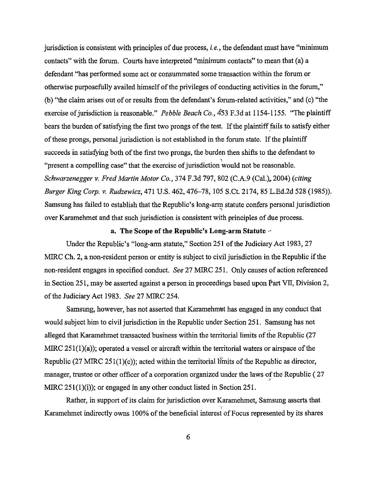jurisdiction is consistent with principles of due process, *i.e.,* the defendant must have "minimum contacts" with the forum. Courts have interpreted "minimum contacts" to mean that (a) a defendant "has performed some act or consummated some transaction within the forum or otherwise purposefully availed himself of the privileges of conducting activities in the forum," (b) "the claim arises out of or results from the defendant's forum-related activities," and (c) "the exercise of jurisdiction is reasonable." *Pebble Beach Co.,* 4'53 F.3d at 1154-1155. "The plaintiff bears the burden of satisfying the first two prongs of the test. If the plaintiff fails to satisfy either of these prongs, personal jurisdiction is not established in the forum state. If the plaintiff succeeds in satisfying both of the first two prongs, the burden then shifts to the defendant to "present a compelling case" that the exercise of jurisdiction would not be reasonable. *Schwarzenegger v. Fred Martin Motor Co.,* 374 F.3d 797, 802 (C.A.9 (Cal.). 2004) *(citing Burger King Corp. v. Rudzewicz,* 471U.S.462, 476-78, 105 S.Ct. 2174, 85 L.Ed.2d 528 (1985)). Samsung has failed to establish that the Republic's long-arm statute confers personal jurisdiction over Karamehmet and that such jurisdiction is consistent with principles of due process.

#### **a. The Scope of the Republic's Long-arm Statute** ··

Under the Republic's "long-arm statute," Section 251 of the Judiciary Act 1983, 27 MIRC Ch. 2, a non-resident person or entity is subject to civil jurisdiction in the Republic if the non-resident engages in specified conduct. *See* 27 MIRC 251. Only causes of action referenced in Section 251, may be asserted against a person in proceedings based upon Part VII, Division 2, of the Judiciary Act 1983. *See* 27 MIRC 254.

Samsung, however, has not asserted that Karamehmet has engaged in any conduct that would subject him to civil jurisdiction in the Republic under Section 251. Samsung has not alleged that Kararnehmet transacted business within the territorial limits of the Republic (27 MIRC 251(1)(a)); operated a vessel or aircraft within the territorial waters or airspace of the Republic (27 MIRC 251(1)(c)); acted within the territorial limits of the Republic as director, manager, trustee or other officer of a corporation organized under the laws of the Republic (27 MIRC 251(1)(i)); or engaged in any other conduct listed in Section 251.

Rather, in support of its claim for jurisdiction over Karamehmet, Samsung asserts that Karamehmet indirectly owns 100% of the beneficial interest of Focus represented by its shares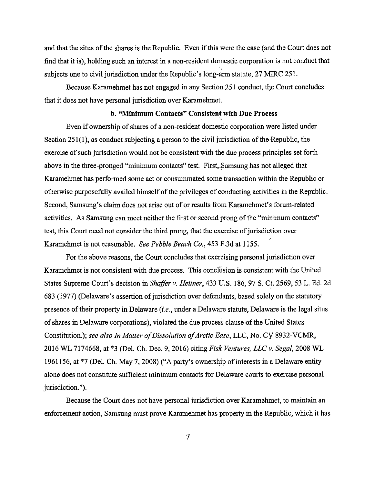and that the situs of the shares is the Republic. Even if this were the case (and the Court does not find that it is), holding such an interest in a non-resident domestic corporation is not conduct that subjects one to civil jurisdiction under the Republic's long-arm statute, 27 MIRC 251.

Because Karamehmet has not engaged in any Section 251 conduct, the Court concludes that it does not have personal jurisdiction over Karamehmet.

#### **b. "Minimum Contacts" Consistent with Due Process**

Even if ownership of shares of a non-resident domestic corporation were listed under Section 251(1), as conduct subjecting a person to the civil jurisdiction of the Republic, the exercise of such jurisdiction would not be consistent with the due process principles set forth above in the three-pronged "minimum contacts" test. First, Samsung has not alleged that Karamehmet has performed some act or consummated some transaction within the Republic or otherwise purposefully availed himself of the privileges of conducting activities in the Republic. Second, Samsung's claim does not arise out of or results from Karamehmet's forum-related activities. As Samsung can meet neither the first or second prong of the "minimum contacts" test, this Court need not consider the third prong, that the exercise of jurisdiction over Karamehmet is not reasonable. *See Pebble Beach Co.,* 453 F.3d at 1155.

For the above reasons, the Court concludes that exercising personal jurisdiction over Karamehmet is not consistent with due process. This concliision is consistent with the United States Supreme Court's decision in *Shaffer v. Heitner*, 433 U.S. 186, 97 S. Ct. 2569, 53 L. Ed. 2d 683 (1977) (Delaware's assertion of jurisdiction over defendants, based solely on the statutory presence of their property in Delaware *(i.e.,* under a Delaware statute, Delaware is the legal situs of shares in Delaware corporations), violated the due process clause of the United States Constitution.); *see also In Matter of Dissolution of Arctic Ease,* LLC, No. CY 8932-VCMR, 2016 WL 7174668, at \*3 (Del. Ch. Dec. 9, 2016) citing *Fisk Ventures, LLC v. Segal,* 2008 WL 1961156, at \*7 (Del. Ch. May 7, 2008) ("A party's ownership of interests in a Delaware entity alone does not constitute sufficient minimum contacts for Delaware courts to exercise personal jurisdiction.").

Because the Court does not have personal jurisdiction over Karamehmet, to maintain an enforcement action, Samsung must prove Karamehmet has property in the Republic, which it has

7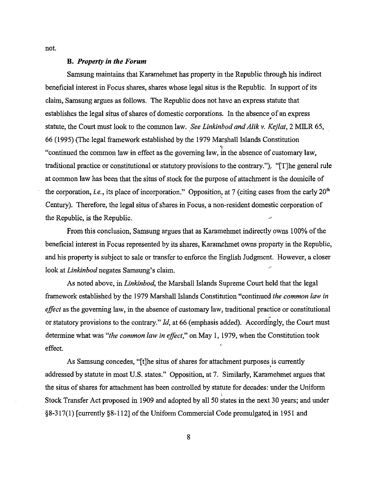not.

#### **B.** *Property in the Forum*

Samsung maintains that Karamehmet has property in the Republic through his indirect beneficial interest in Focus shares, shares whose legal situs is the Republic. In support of its claim, Samsung argues as follows. The Republic does not have an express statute that establishes the legal situs of shares of domestic corporations. In the absence of an express ·' statute, the Court must look to the common law. *See Linkinbod and Alik v. Kejlat,* 2 MILR 65, 66 ( 1995) (The legal framework established by the 1979 Marshall Islands Constitution "continued the common law in effect as the governing law, in the absence of customary law, traditional practice or constitutional or statutory provisions to the contrary."), "[T]he general rule at common law has been that the situs of stock for the purpose of attachment is the domicile of the corporation, *i.e.*, its place of incorporation." Opposition, at 7 (citing cases from the early 20<sup>th</sup> Century). Therefore, the legal situs of shares in Focus, a non-resident domestic corporation of the Republic, is the Republic.

From this conclusion, Samsung argues that as Karamehmet indirectly owns 100% of the beneficial interest in Focus represented by its shares, Karamehmet owns property in the Republic, and his property is subject to sale or transfer to enforce the English Judgment. However, a closer look at *Linkinbod* negates Samsung's claim.

As noted above, in *Linkinbod,* the Marshall Islands Supreme Court held that the legal framework established by the 1979 Marshall Islands Constitution "continued *the common law in effect* as the governing law, in the absence of customary law, traditional practice or constitutional or statutory provisions to the contrary." *Id,* at 66 (emphasis added). Accordingly, the Court must determine what was *"the common law in effect,"* on May 1, 1979, when the Constitution took effect.

As Samsung concedes, "[t]he situs of shares for attachment purposes is currently addressed by statute in most U.S. states." Opposition, at 7. Similarly, Karamehmet argues that the situs of shares for attachment has been controlled by statute for decades: under the Uniform Stock Transfer Act proposed in 1909 and adopted by all 50 states in the next 30 years; and under §8-317(1) [currently §8-112] of the Uniform Commercial Code promulgated in 1951 and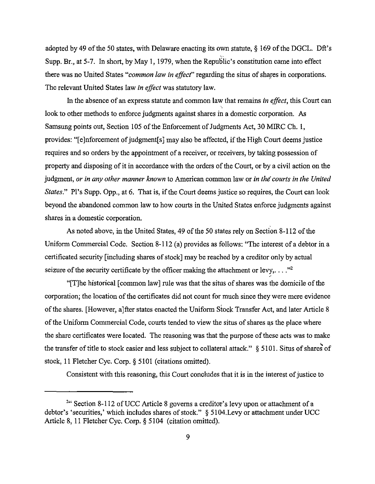adopted by 49 of the 50 states, with Delaware enacting its own statute,§ 169 of the DGCL. Dft's Supp. Br., at 5-7. In short, by May 1, 1979, when the Republic's constitution came into effect there was no United States *"common law in effect"* regarding the situs of shares in corporations. The relevant United States law *in effect* was statutory law.

In the absence of an express statute and common law that remains *in effect,* this Court can look to other methods to enforce judgments against shares in a domestic corporation. *As*  Samsung points out, Section 105 of the Enforcement of Judgments Act, 30 MIRC Ch. I, provides: "[e]nforcement of judgment[s] may also be affected, if the High Court deems justice requires and so orders by the appointment of a receiver, or receivers, by taking possession of property and disposing of it in accordance with the orders of the Court, or by a civil action on the judgment, *or in any other manner known* to American common law or *in the courts in the United States.*" Pl's Supp. Opp., at 6. That is, if the Court deems justice so requires, the Court can look beyond the abandoned common law to how courts in the United States enforce judgments against shares in a domestic corporation.

As noted above, in the United States, 49 of the 50 states rely on Section 8-112 of the Uniform Commercial Code. Section 8-112 (a) provides as follows: "The interest of a debtor in a certificated security [including shares of stock] may be reached by a creditor only by actual seizure of the security certificate by the officer making the attachment or levy,  $\dots$ ."<sup>2</sup>

"[T]he historical [common law] rule was that the situs of shares was the domicile of the corporation; the location of the certificates did not count for much since they were mere evidence of the shares. [However, a]fter states enacted the Uniform Stock Transfer Act, and later Article 8 of the Uniform Commercial Code, courts tended to view the situs of shares as the place where the share certificates were located. The reasoning was that the purpose of these acts was to make the transfer of title to stock easier and less subject to collateral attack."  $\S$  5101. Situs of shares of stock, 11 Fletcher Cyc. Corp.§ 5101 (citations omitted).

Consistent with this reasoning, this Court concludes that it is in the interest of justice to

<sup>&</sup>lt;sup>2</sup>" Section 8-112 of UCC Article 8 governs a creditor's levy upon or attachment of a debtor's 'securities,' which includes shares of stock." § 5104.Levy or attachment under UCC Article 8, 11 Fletcher Cyc. Corp.§ 5104 (citation omitted).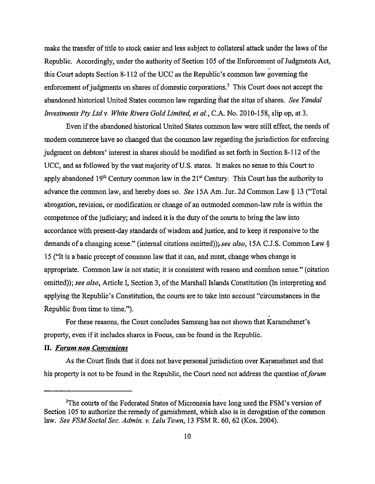make the transfer of title to stock easier and less subject to collateral attack under the laws of the Republic. Accordingly, under the authority of Section 105 of the Enforcement of Judgments Act, this Court adopts Section 8-112 of the UCC as the Republic's common law governing the enforcement of judgments on shares of domestic corporations.<sup>3</sup> This Court does not accept the abandoned historical United States common law regarding that the situs of shares. *See Yanda/ Investments Pty Ltd v. White Rivers Gold Limited, et al., C.A. No. 2010-158, slip op, at 3.* 

Even if the abandoned historical United States common law were still effect, the needs of modem commerce have so changed that the common law regarding the jurisdiction for enforcing judgment on debtors' interest in shares should be modified as set forth in Section 8-112 of the UCC, and as followed by the vast majority of U.S. states. It makes no sense to this Court to apply abandoned  $19<sup>th</sup>$  Century common law in the 21<sup>st</sup> Century. This Court has the authority to advance the common law, and hereby does so. *See* ISA Am. Jur. 2d Common Law§ 13 ("Total abrogation, revision, or modification or change of an outmoded common-law rule is within the competence of the judiciary; and indeed it is the duty of the courts to bring the law into accordance with present-day standards of wisdom and justice, and to keep it responsive to the demands ofa changing scene." (internal citations omitted));.see *also,* ISA C.J.S. Common Law§ 15 ("It is a basic precept of common law that it can, and must, change when change is appropriate. Common law is not static; it is consistent with reason and common sense." (citation omitted)); *see also,* Article I, Section 3, of the Marshall Islands Constitution (In interpreting and applying the Republic's Constitution, the courts are to take into account "circumstances in the Republic from time to time.").

For these reasons, the Court concludes Samsung has not shown that Karamehmet's property, even if it includes shares in Focus, can be found in the Republic.

#### **II.** *Forum non Conveniens*

As the Court finds that it does not have personal jurisdiction over Karamehmet and that his property is not to be found in the Republic, the Court need not address the question of *forum* 

<sup>&</sup>lt;sup>3</sup>The courts of the Federated States of Micronesia have long used the FSM's version of Section 105 to authorize the remedy of garnishment, which also is in derogation of the common law. *See FSM Social Sec. Admin. v. Lelu Town,* 13 FSM R. 60, 62 (Kos. 2004).